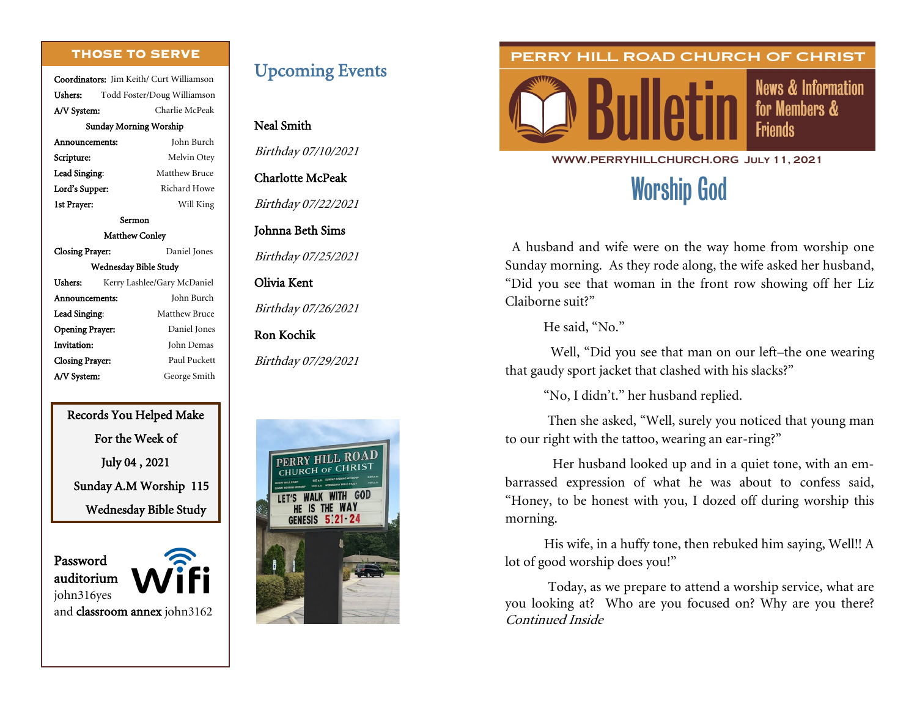#### **THOSE TO SERVE**

Coordinators: Jim Keith/ Curt Williamson Ushers: Todd Foster/Doug Williamson A/V System: Charlie McPeak Sunday Morning Worship

| Announcements:         | John Burch                  |  |
|------------------------|-----------------------------|--|
| Scripture:             | Melvin Otey                 |  |
| Lead Singing:          | <b>Matthew Bruce</b>        |  |
| Lord's Supper:         | Richard Howe                |  |
| 1st Prayer:            | Will King                   |  |
|                        | Sermon                      |  |
| <b>Matthew Conley</b>  |                             |  |
| Closing Prayer:        | Daniel Jones                |  |
|                        | Wednesday Bible Study       |  |
| Ushers:                | Kerry Lashlee/Gary McDaniel |  |
| Announcements:         | John Burch                  |  |
| Lead Singing:          | Matthew Bruce               |  |
| <b>Opening Prayer:</b> | Daniel Jones                |  |
| Invitation:            | John Demas                  |  |
| <b>Closing Prayer:</b> | Paul Puckett                |  |
| A/V System:            | George Smith                |  |

Records You Helped Make For the Week of July 04 , 2021 Sunday A.M Worship 115 Wednesday Bible Study

Password auditorium john316yes and classroom annex john3162

### Upcoming Events

#### Neal Smith

Birthday 07/10/2021

#### Charlotte McPeak

Birthday 07/22/2021

#### Johnna Beth Sims

Birthday 07/25/2021

#### Olivia Kent

Birthday 07/26/2021

#### Ron Kochik

Birthday 07/29/2021



#### PERRY HILL ROAD CHURCH OF CHRIST



**News & Information** for Members & **Friends** 

#### **WWW.PERRYHILLCHURCH.ORG July 11, 2021**

# Worship God

A husband and wife were on the way home from worship one Sunday morning. As they rode along, the wife asked her husband, "Did you see that woman in the front row showing off her Liz Claiborne suit?"

He said, "No."

 Well, "Did you see that man on our left–the one wearing that gaudy sport jacket that clashed with his slacks?"

"No, I didn't." her husband replied.

 Then she asked, "Well, surely you noticed that young man to our right with the tattoo, wearing an ear-ring?"

 Her husband looked up and in a quiet tone, with an embarrassed expression of what he was about to confess said, "Honey, to be honest with you, I dozed off during worship this morning.

 His wife, in a huffy tone, then rebuked him saying, Well!! A lot of good worship does you!"

 Today, as we prepare to attend a worship service, what are you looking at? Who are you focused on? Why are you there? Continued Inside